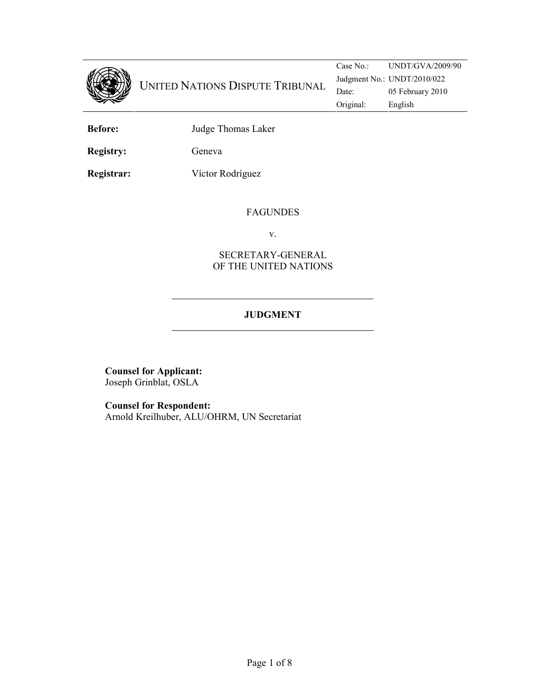

Case No.: UNDT/GVA/2009/90 Judgment No.: UNDT/2010/022 Original: English

Before: Judge Thomas Laker

Registry: Geneva

Registrar: Víctor Rodríguez

#### FAGUNDES

v.

## SECRETARY-GENERAL OF THE UNITED NATIONS

# JUDGMENT

Counsel for Applicant: Joseph Grinblat, OSLA

Counsel for Respondent: Arnold Kreilhuber, ALU/OHRM, UN Secretariat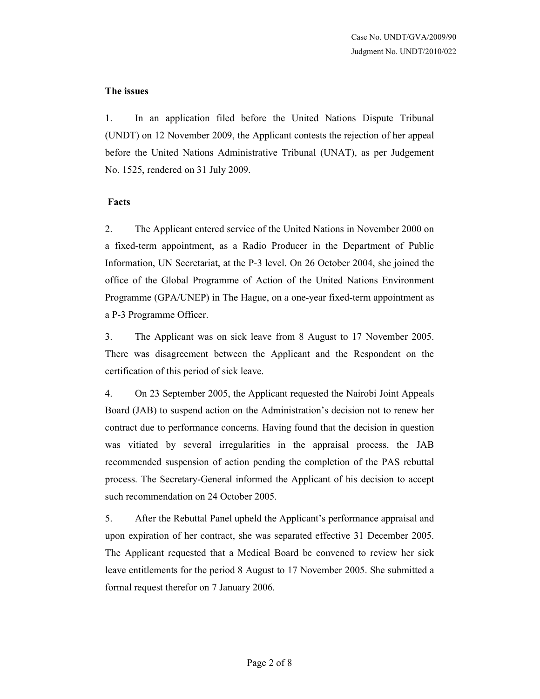#### The issues

1. In an application filed before the United Nations Dispute Tribunal (UNDT) on 12 November 2009, the Applicant contests the rejection of her appeal before the United Nations Administrative Tribunal (UNAT), as per Judgement No. 1525, rendered on 31 July 2009.

### Facts

2. The Applicant entered service of the United Nations in November 2000 on a fixed-term appointment, as a Radio Producer in the Department of Public Information, UN Secretariat, at the P-3 level. On 26 October 2004, she joined the office of the Global Programme of Action of the United Nations Environment Programme (GPA/UNEP) in The Hague, on a one-year fixed-term appointment as a P-3 Programme Officer.

3. The Applicant was on sick leave from 8 August to 17 November 2005. There was disagreement between the Applicant and the Respondent on the certification of this period of sick leave.

4. On 23 September 2005, the Applicant requested the Nairobi Joint Appeals Board (JAB) to suspend action on the Administration's decision not to renew her contract due to performance concerns. Having found that the decision in question was vitiated by several irregularities in the appraisal process, the JAB recommended suspension of action pending the completion of the PAS rebuttal process. The Secretary-General informed the Applicant of his decision to accept such recommendation on 24 October 2005.

5. After the Rebuttal Panel upheld the Applicant's performance appraisal and upon expiration of her contract, she was separated effective 31 December 2005. The Applicant requested that a Medical Board be convened to review her sick leave entitlements for the period 8 August to 17 November 2005. She submitted a formal request therefor on 7 January 2006.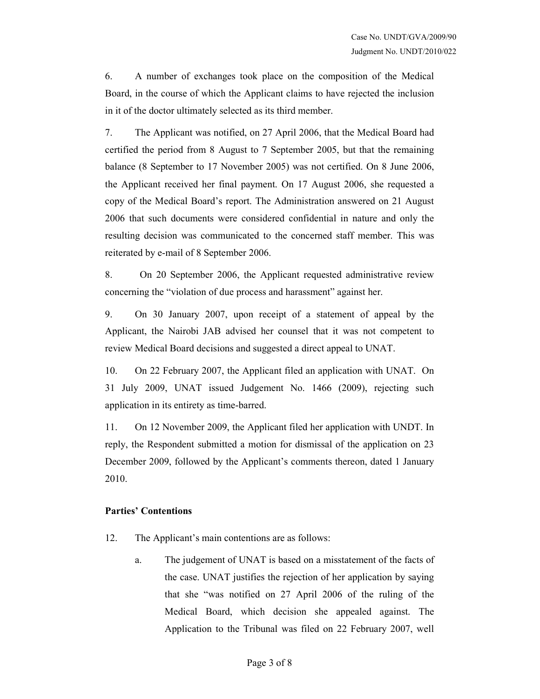6. A number of exchanges took place on the composition of the Medical Board, in the course of which the Applicant claims to have rejected the inclusion in it of the doctor ultimately selected as its third member.

7. The Applicant was notified, on 27 April 2006, that the Medical Board had certified the period from 8 August to 7 September 2005, but that the remaining balance (8 September to 17 November 2005) was not certified. On 8 June 2006, the Applicant received her final payment. On 17 August 2006, she requested a copy of the Medical Board's report. The Administration answered on 21 August 2006 that such documents were considered confidential in nature and only the resulting decision was communicated to the concerned staff member. This was reiterated by e-mail of 8 September 2006.

8. On 20 September 2006, the Applicant requested administrative review concerning the "violation of due process and harassment" against her.

9. On 30 January 2007, upon receipt of a statement of appeal by the Applicant, the Nairobi JAB advised her counsel that it was not competent to review Medical Board decisions and suggested a direct appeal to UNAT.

10. On 22 February 2007, the Applicant filed an application with UNAT. On 31 July 2009, UNAT issued Judgement No. 1466 (2009), rejecting such application in its entirety as time-barred.

11. On 12 November 2009, the Applicant filed her application with UNDT. In reply, the Respondent submitted a motion for dismissal of the application on 23 December 2009, followed by the Applicant's comments thereon, dated 1 January 2010.

#### Parties' Contentions

12. The Applicant's main contentions are as follows:

a. The judgement of UNAT is based on a misstatement of the facts of the case. UNAT justifies the rejection of her application by saying that she "was notified on 27 April 2006 of the ruling of the Medical Board, which decision she appealed against. The Application to the Tribunal was filed on 22 February 2007, well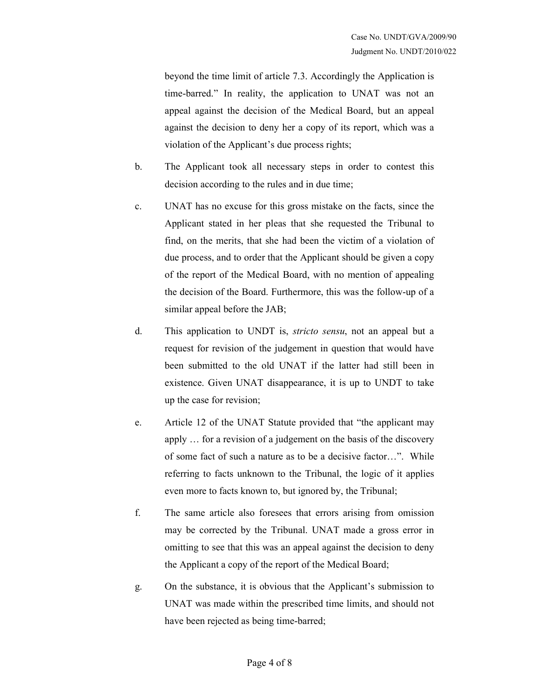beyond the time limit of article 7.3. Accordingly the Application is time-barred." In reality, the application to UNAT was not an appeal against the decision of the Medical Board, but an appeal against the decision to deny her a copy of its report, which was a violation of the Applicant's due process rights;

- b. The Applicant took all necessary steps in order to contest this decision according to the rules and in due time;
- c. UNAT has no excuse for this gross mistake on the facts, since the Applicant stated in her pleas that she requested the Tribunal to find, on the merits, that she had been the victim of a violation of due process, and to order that the Applicant should be given a copy of the report of the Medical Board, with no mention of appealing the decision of the Board. Furthermore, this was the follow-up of a similar appeal before the JAB;
- d. This application to UNDT is, stricto sensu, not an appeal but a request for revision of the judgement in question that would have been submitted to the old UNAT if the latter had still been in existence. Given UNAT disappearance, it is up to UNDT to take up the case for revision;
- e. Article 12 of the UNAT Statute provided that "the applicant may apply … for a revision of a judgement on the basis of the discovery of some fact of such a nature as to be a decisive factor…". While referring to facts unknown to the Tribunal, the logic of it applies even more to facts known to, but ignored by, the Tribunal;
- f. The same article also foresees that errors arising from omission may be corrected by the Tribunal. UNAT made a gross error in omitting to see that this was an appeal against the decision to deny the Applicant a copy of the report of the Medical Board;
- g. On the substance, it is obvious that the Applicant's submission to UNAT was made within the prescribed time limits, and should not have been rejected as being time-barred;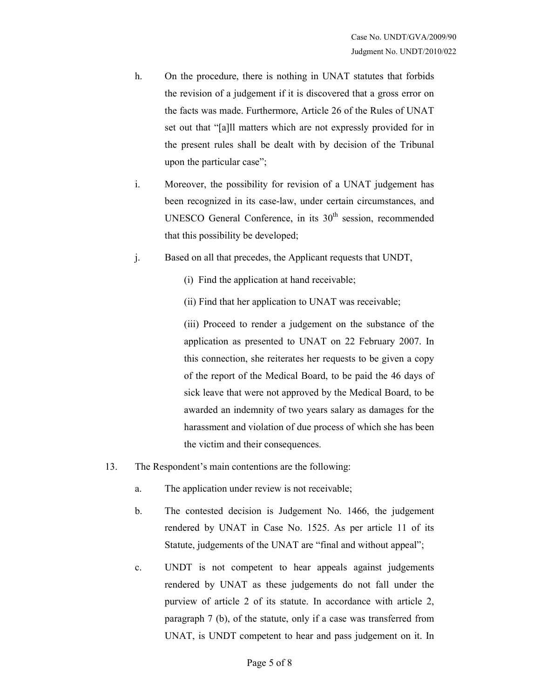- h. On the procedure, there is nothing in UNAT statutes that forbids the revision of a judgement if it is discovered that a gross error on the facts was made. Furthermore, Article 26 of the Rules of UNAT set out that "[a]ll matters which are not expressly provided for in the present rules shall be dealt with by decision of the Tribunal upon the particular case";
- i. Moreover, the possibility for revision of a UNAT judgement has been recognized in its case-law, under certain circumstances, and UNESCO General Conference, in its  $30<sup>th</sup>$  session, recommended that this possibility be developed;
- j. Based on all that precedes, the Applicant requests that UNDT,
	- (i) Find the application at hand receivable;
	- (ii) Find that her application to UNAT was receivable;

(iii) Proceed to render a judgement on the substance of the application as presented to UNAT on 22 February 2007. In this connection, she reiterates her requests to be given a copy of the report of the Medical Board, to be paid the 46 days of sick leave that were not approved by the Medical Board, to be awarded an indemnity of two years salary as damages for the harassment and violation of due process of which she has been the victim and their consequences.

- 13. The Respondent's main contentions are the following:
	- a. The application under review is not receivable;
	- b. The contested decision is Judgement No. 1466, the judgement rendered by UNAT in Case No. 1525. As per article 11 of its Statute, judgements of the UNAT are "final and without appeal";
	- c. UNDT is not competent to hear appeals against judgements rendered by UNAT as these judgements do not fall under the purview of article 2 of its statute. In accordance with article 2, paragraph 7 (b), of the statute, only if a case was transferred from UNAT, is UNDT competent to hear and pass judgement on it. In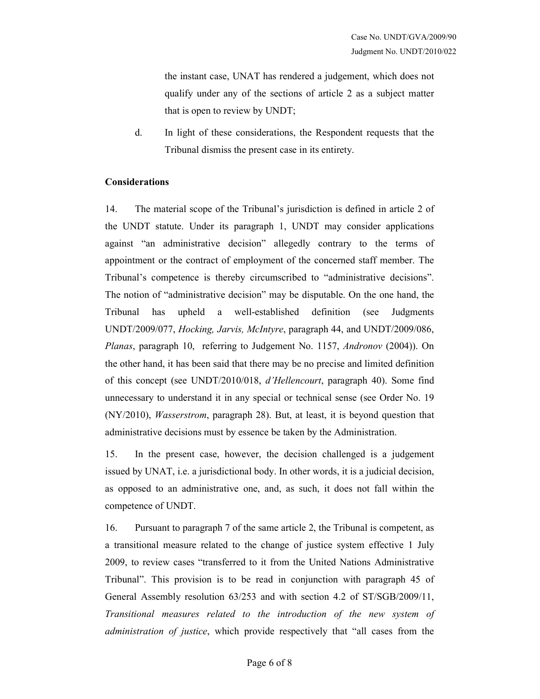the instant case, UNAT has rendered a judgement, which does not qualify under any of the sections of article 2 as a subject matter that is open to review by UNDT;

d. In light of these considerations, the Respondent requests that the Tribunal dismiss the present case in its entirety.

### Considerations

14. The material scope of the Tribunal's jurisdiction is defined in article 2 of the UNDT statute. Under its paragraph 1, UNDT may consider applications against "an administrative decision" allegedly contrary to the terms of appointment or the contract of employment of the concerned staff member. The Tribunal's competence is thereby circumscribed to "administrative decisions". The notion of "administrative decision" may be disputable. On the one hand, the Tribunal has upheld a well-established definition (see Judgments UNDT/2009/077, Hocking, Jarvis, McIntyre, paragraph 44, and UNDT/2009/086, Planas, paragraph 10, referring to Judgement No. 1157, Andronov (2004)). On the other hand, it has been said that there may be no precise and limited definition of this concept (see UNDT/2010/018, d'Hellencourt, paragraph 40). Some find unnecessary to understand it in any special or technical sense (see Order No. 19 (NY/2010), Wasserstrom, paragraph 28). But, at least, it is beyond question that administrative decisions must by essence be taken by the Administration.

15. In the present case, however, the decision challenged is a judgement issued by UNAT, i.e. a jurisdictional body. In other words, it is a judicial decision, as opposed to an administrative one, and, as such, it does not fall within the competence of UNDT.

16. Pursuant to paragraph 7 of the same article 2, the Tribunal is competent, as a transitional measure related to the change of justice system effective 1 July 2009, to review cases "transferred to it from the United Nations Administrative Tribunal". This provision is to be read in conjunction with paragraph 45 of General Assembly resolution 63/253 and with section 4.2 of ST/SGB/2009/11, Transitional measures related to the introduction of the new system of administration of justice, which provide respectively that "all cases from the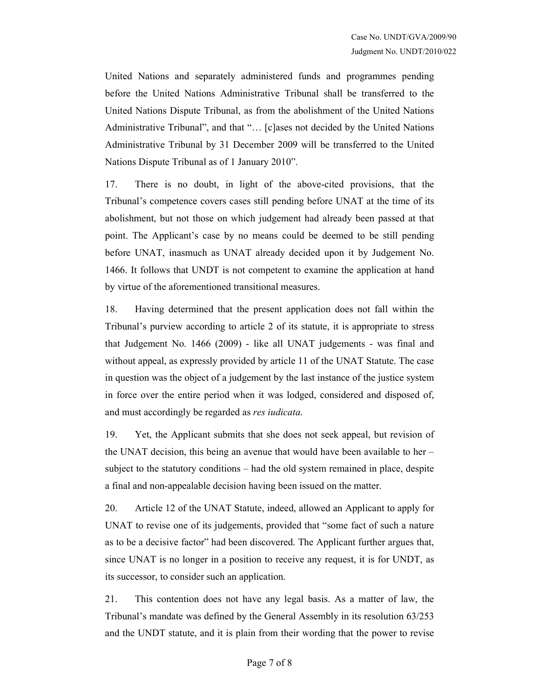United Nations and separately administered funds and programmes pending before the United Nations Administrative Tribunal shall be transferred to the United Nations Dispute Tribunal, as from the abolishment of the United Nations Administrative Tribunal", and that "… [c]ases not decided by the United Nations Administrative Tribunal by 31 December 2009 will be transferred to the United Nations Dispute Tribunal as of 1 January 2010".

17. There is no doubt, in light of the above-cited provisions, that the Tribunal's competence covers cases still pending before UNAT at the time of its abolishment, but not those on which judgement had already been passed at that point. The Applicant's case by no means could be deemed to be still pending before UNAT, inasmuch as UNAT already decided upon it by Judgement No. 1466. It follows that UNDT is not competent to examine the application at hand by virtue of the aforementioned transitional measures.

18. Having determined that the present application does not fall within the Tribunal's purview according to article 2 of its statute, it is appropriate to stress that Judgement No. 1466 (2009) - like all UNAT judgements - was final and without appeal, as expressly provided by article 11 of the UNAT Statute. The case in question was the object of a judgement by the last instance of the justice system in force over the entire period when it was lodged, considered and disposed of, and must accordingly be regarded as res iudicata.

19. Yet, the Applicant submits that she does not seek appeal, but revision of the UNAT decision, this being an avenue that would have been available to her – subject to the statutory conditions – had the old system remained in place, despite a final and non-appealable decision having been issued on the matter.

20. Article 12 of the UNAT Statute, indeed, allowed an Applicant to apply for UNAT to revise one of its judgements, provided that "some fact of such a nature as to be a decisive factor" had been discovered. The Applicant further argues that, since UNAT is no longer in a position to receive any request, it is for UNDT, as its successor, to consider such an application.

21. This contention does not have any legal basis. As a matter of law, the Tribunal's mandate was defined by the General Assembly in its resolution 63/253 and the UNDT statute, and it is plain from their wording that the power to revise